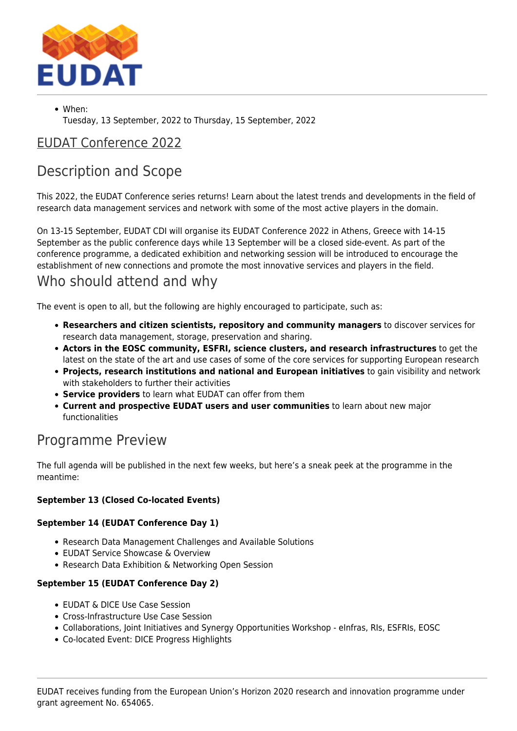

When: Tuesday, 13 September, 2022 to Thursday, 15 September, 2022

### [EUDAT Conference 2022](https://eudat.eu/eudat-conference-2022)

# Description and Scope

This 2022, the EUDAT Conference series returns! Learn about the latest trends and developments in the field of research data management services and network with some of the most active players in the domain.

On 13-15 September, EUDAT CDI will organise its EUDAT Conference 2022 in Athens, Greece with 14-15 September as the public conference days while 13 September will be a closed side-event. As part of the conference programme, a dedicated exhibition and networking session will be introduced to encourage the establishment of new connections and promote the most innovative services and players in the field.

# Who should attend and why

The event is open to all, but the following are highly encouraged to participate, such as:

- **Researchers and citizen scientists, repository and community managers** to discover services for research data management, storage, preservation and sharing.
- **Actors in the EOSC community, ESFRI, science clusters, and research infrastructures** to get the latest on the state of the art and use cases of some of the core services for supporting European research
- **Projects, research institutions and national and European initiatives** to gain visibility and network with stakeholders to further their activities
- **Service providers** to learn what EUDAT can offer from them
- **Current and prospective EUDAT users and user communities** to learn about new major functionalities

## Programme Preview

The full agenda will be published in the next few weeks, but here's a sneak peek at the programme in the meantime:

### **September 13 (Closed Co-located Events)**

### **September 14 (EUDAT Conference Day 1)**

- Research Data Management Challenges and Available Solutions
- EUDAT Service Showcase & Overview
- Research Data Exhibition & Networking Open Session

#### **September 15 (EUDAT Conference Day 2)**

- **EUDAT & DICE Use Case Session**
- Cross-Infrastructure Use Case Session
- Collaborations, Joint Initiatives and Synergy Opportunities Workshop eInfras, RIs, ESFRIs, EOSC
- Co-located Event: DICE Progress Highlights